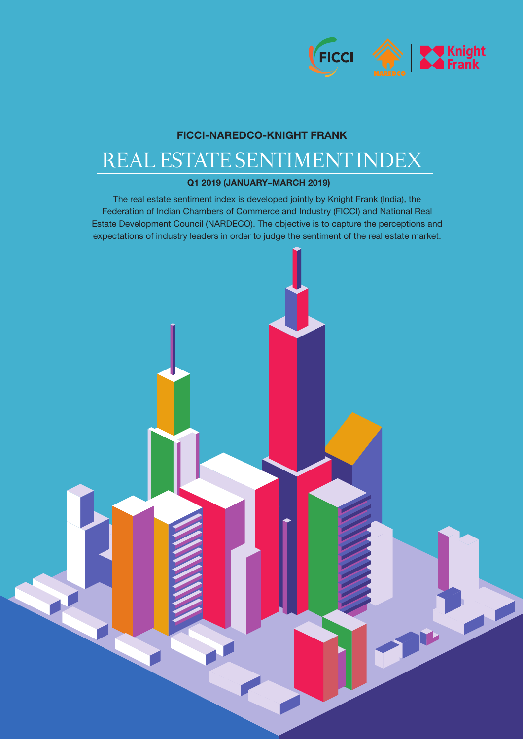

PERSONAL PROPERTY.

# FICCI-NAREDCO-KNIGHT FRANK

# REAL ESTATE SENTIMENT INDEX

## Q1 2019 (JANUARY–MARCH 2019)

The real estate sentiment index is developed jointly by Knight Frank (India), the Federation of Indian Chambers of Commerce and Industry (FICCI) and National Real Estate Development Council (NARDECO). The objective is to capture the perceptions and expectations of industry leaders in order to judge the sentiment of the real estate market.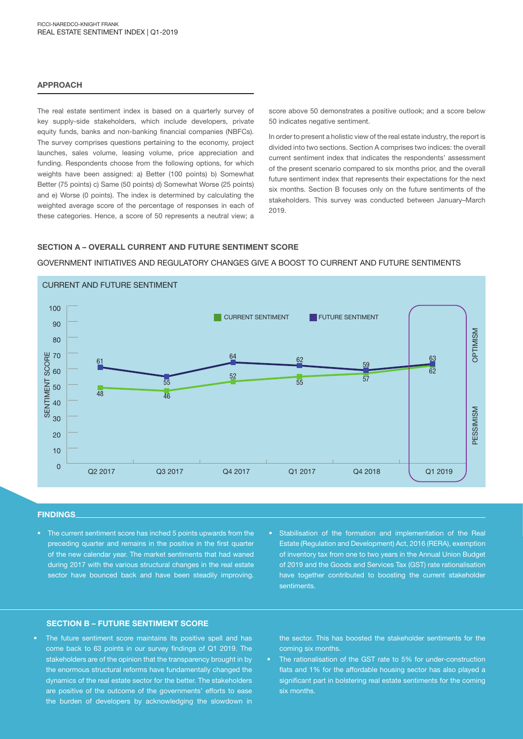#### APPROACH

The real estate sentiment index is based on a quarterly survey of key supply-side stakeholders, which include developers, private equity funds, banks and non-banking financial companies (NBFCs). The survey comprises questions pertaining to the economy, project launches, sales volume, leasing volume, price appreciation and funding. Respondents choose from the following options, for which weights have been assigned: a) Better (100 points) b) Somewhat Better (75 points) c) Same (50 points) d) Somewhat Worse (25 points) and e) Worse (0 points). The index is determined by calculating the weighted average score of the percentage of responses in each of these categories. Hence, a score of 50 represents a neutral view; a

score above 50 demonstrates a positive outlook; and a score below 50 indicates negative sentiment.

In order to present a holistic view of the real estate industry, the report is divided into two sections. Section A comprises two indices: the overall current sentiment index that indicates the respondents' assessment of the present scenario compared to six months prior, and the overall future sentiment index that represents their expectations for the next six months. Section B focuses only on the future sentiments of the stakeholders. This survey was conducted between January–March 2019.

#### SECTION A – OVERALL CURRENT AND FUTURE SENTIMENT SCORE

#### GOVERNMENT INITIATIVES AND REGULATORY CHANGES GIVE A BOOST TO CURRENT AND FUTURE SENTIMENTS



#### FINDINGS

- The current sentiment score has inched 5 points upwards from the preceding quarter and remains in the positive in the first quarter of the new calendar year. The market sentiments that had waned during 2017 with the various structural changes in the real estate sector have bounced back and have been steadily improving.
- Stabilisation of the formation and implementation of the Real Estate (Regulation and Development) Act, 2016 (RERA), exemption of inventory tax from one to two years in the Annual Union Budget of 2019 and the Goods and Services Tax (GST) rate rationalisation have together contributed to boosting the current stakeholder sentiments.

### SECTION B – FUTURE SENTIMENT SCORE

The future sentiment score maintains its positive spell and has come back to 63 points in our survey findings of Q1 2019. The stakeholders are of the opinion that the transparency brought in by the enormous structural reforms have fundamentally changed the dynamics of the real estate sector for the better. The stakeholders are positive of the outcome of the governments' efforts to ease the burden of developers by acknowledging the slowdown in the sector. This has boosted the stakeholder sentiments for the coming six months.

• The rationalisation of the GST rate to 5% for under-construction flats and 1% for the affordable housing sector has also played a significant part in bolstering real estate sentiments for the coming six months.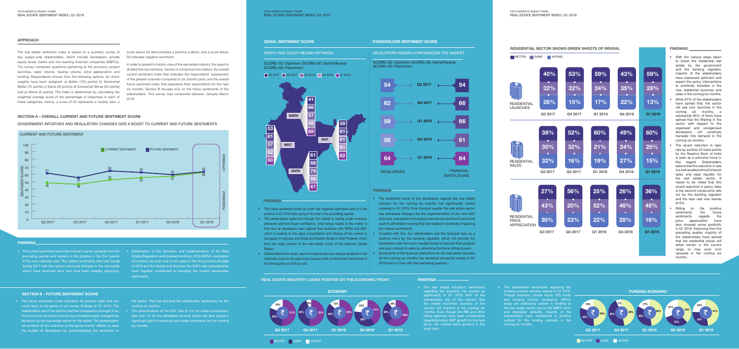

NORTH AND SOUTH REGAIN OPTIMISM DEVELOPERS REGAIN CONFIDENCEIN THE MARKET SCORE>50: Optimism SCORE=50: Same/Neutral

### Q3 2017 Q4 2017 Q1 2018 Q4 2018 Q1 2019

SCORE>50: Optimism SCORE=50: Same/Neutral SCORE<50: Pessimism

SCORE<50: Pessimism

#### FINDINGS

#### FINDINGS

### FINDINGS

- The future sentiment score for north has regained optimisms and is in the positive in Q1 2019 after going in the red in the preceding quarter.
- The stakeholders opine that though the market is reeling under inventory pressures and low buyer confidence, what brings respite to the matter is that now all developers have aligned their business with RERA and GST, which is leading to the rapid consolidation and filtering of the market in Gurugram in Haryana and Noida and Greater Noida in Uttar Pradesh, which form the major portion of the real estate chunk of the National Capital Region.
- Stakeholders from south, east and west zones have always remained in the optimistic zone for the past many quarters and continue their momentum in the first quarter of 2019 as well.

#### APPROACH ZONAL SENTIMENT SCORE STAKEHOLDER SENTIMENT SCORE SENTIMENT SCORE

- With the various steps taken to boost the residential real estate by the government and the banking regulator, majority of the stakeholders have expressed optimism and expect the policy interventions to positively translate in the new residential launches and sales in the coming six months.
- While 87% of the stakeholders have opined that, the sector will see new launches in the coming six months, a substantial 85% of them have opined that the filtering in the sector with respect to the organised and unorganised developers will positively translate into demand in the coming six months.
- The recent reduction in repo rate by another 25 basis points by the Reserve Bank of India is seen as a welcome move in this regard. Stakeholders believe that the reduction in rate is a well awaited stimuli to boost sales and ease liquidity for the real estate sector. It needs to be noted that this recent reduction in policy rates is the second consecutive rate cut by the banking regulator and the repo rate now stands at 6%.
- Riding on the positive sentiments, the future sentiments regards the price appreciation have also showed some positivity in Q1 2019. Improving from the preceding quarter, majority of the stakeholders have opined that the residential prices will either remain in the current range or may even inch upwards in the coming six months.

- **ECONOMY** Q3 2017 Q4 2017 Q1 2018 Q4 2018 Q1 2019 13% 35% 52% 23% 36% 41% 19% 30% 51% 6% 42% <del>₹</del> 52% 10% 30% 60%
- The real estate industry's sentiments regarding the economy has moved up significantly in Q1 2019. 60% of the stakeholders are of the opinion that the overall economic scenario of the country will improve in the coming six months. Even though the RBI and other rating agencies have been conservative regarding India's GDP growth for the next fiscal, the market looks positive in the short term.
- The stakeholder sentiments regarding the funding scenario remains upbeat in Q1 2019. Though investors, private equity (PE) funds and housing finance companies (HFCs) today are exercising caution in lending to the real estate sector due to the NBFC crisis and developer defaults, majority of the stakeholders have maintained a positive outlook for the funding scenario in the coming six months.



- The sentiment score of the developers regards the real estate scenario for the coming six months has significantly inched upwards in Q1 2019. Over the past quarter the real estate sector has witnessed changes like the implementation of the new GST structure, exemption from paying notional rent and the incentivised push to affordable housing that has helped in positively impacting the market sentiments.
- Coupled with this, the stakeholders see the reduced repo as a positive move by the banking regulator, which will provide the developers with the much-needed funds to execute their projects and give a boost to sales by attracting the fence sitting buyers.
- Sentiments of the financial institutions for the real estate scenario for the coming six months has remained somewhat steady in Q1 2019 and is in line with the preceding quarters.





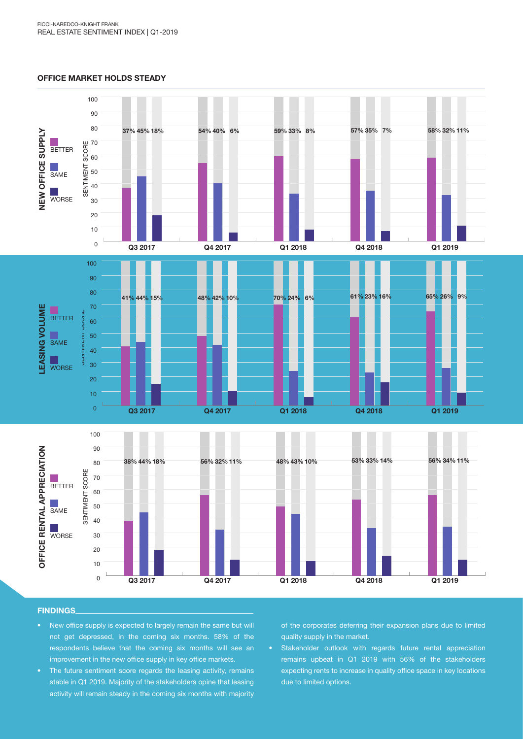#### OFFICE MARKET HOLDS STEADY



#### FINDINGS

- New office supply is expected to largely remain the same but will not get depressed, in the coming six months. 58% of the respondents believe that the coming six months will see an improvement in the new office supply in key office markets.
- The future sentiment score regards the leasing activity, remains stable in Q1 2019. Majority of the stakeholders opine that leasing activity will remain steady in the coming six months with majority

of the corporates deferring their expansion plans due to limited quality supply in the market.

• Stakeholder outlook with regards future rental appreciation remains upbeat in Q1 2019 with 56% of the stakeholders expecting rents to increase in quality office space in key locations due to limited options.